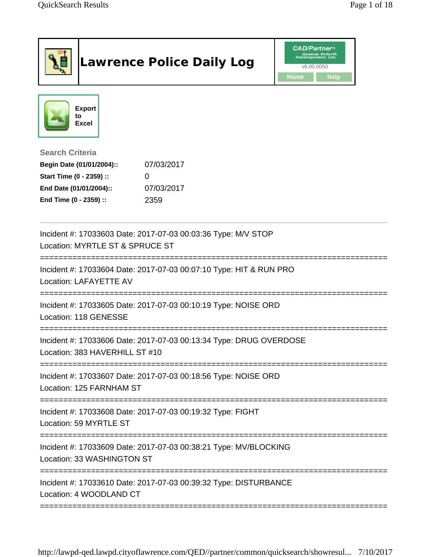|                                                                                                                                      | <b>Lawrence Police Daily Log</b>             | <b>CAD/Partner</b> "<br>Queues Enforth<br>Development, Inc.<br>v8.00.0050<br>Home<br>Help |
|--------------------------------------------------------------------------------------------------------------------------------------|----------------------------------------------|-------------------------------------------------------------------------------------------|
| <b>Export</b><br>to<br><b>Excel</b>                                                                                                  |                                              |                                                                                           |
| <b>Search Criteria</b><br>Begin Date (01/01/2004)::<br>Start Time (0 - 2359) ::<br>End Date (01/01/2004)::<br>End Time (0 - 2359) :: | 07/03/2017<br>$\Omega$<br>07/03/2017<br>2359 |                                                                                           |
| Incident #: 17033603 Date: 2017-07-03 00:03:36 Type: M/V STOP<br>Location: MYRTLE ST & SPRUCE ST                                     |                                              |                                                                                           |
| Incident #: 17033604 Date: 2017-07-03 00:07:10 Type: HIT & RUN PRO<br>Location: LAFAYETTE AV                                         |                                              |                                                                                           |
| Incident #: 17033605 Date: 2017-07-03 00:10:19 Type: NOISE ORD<br>Location: 118 GENESSE                                              |                                              |                                                                                           |
| Incident #: 17033606 Date: 2017-07-03 00:13:34 Type: DRUG OVERDOSE<br>Location: 383 HAVERHILL ST #10                                 |                                              |                                                                                           |
| Incident #: 17033607 Date: 2017-07-03 00:18:56 Type: NOISE ORD<br>Location: 125 FARNHAM ST                                           |                                              |                                                                                           |
| Incident #: 17033608 Date: 2017-07-03 00:19:32 Type: FIGHT<br>Location: 59 MYRTLE ST                                                 |                                              |                                                                                           |
| Incident #: 17033609 Date: 2017-07-03 00:38:21 Type: MV/BLOCKING<br>Location: 33 WASHINGTON ST                                       |                                              |                                                                                           |
| Incident #: 17033610 Date: 2017-07-03 00:39:32 Type: DISTURBANCE<br>Location: 4 WOODLAND CT                                          |                                              |                                                                                           |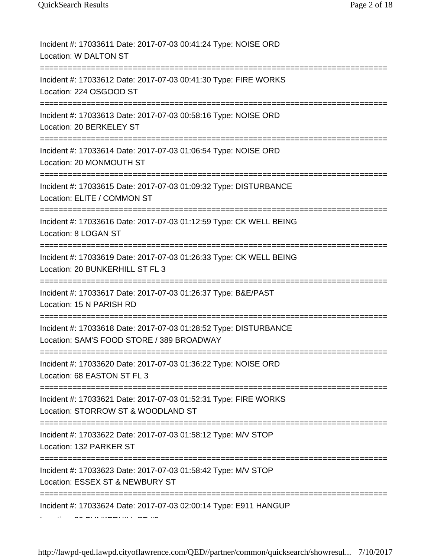Incident #: 17033611 Date: 2017-07-03 00:41:24 Type: NOISE ORD Location: W DALTON ST

Incident #: 17033612 Date: 2017-07-03 00:41:30 Type: FIRE WORKS Location: 224 OSGOOD ST

===========================================================================

===========================================================================

Incident #: 17033613 Date: 2017-07-03 00:58:16 Type: NOISE ORD Location: 20 BERKELEY ST

===========================

Incident #: 17033614 Date: 2017-07-03 01:06:54 Type: NOISE ORD Location: 20 MONMOUTH ST

===========================================================================

Incident #: 17033615 Date: 2017-07-03 01:09:32 Type: DISTURBANCE Location: ELITE / COMMON ST

===========================================================================

Incident #: 17033616 Date: 2017-07-03 01:12:59 Type: CK WELL BEING Location: 8 LOGAN ST

========================

Incident #: 17033619 Date: 2017-07-03 01:26:33 Type: CK WELL BEING Location: 20 BUNKERHILL ST FL 3

===========================================================================

Incident #: 17033617 Date: 2017-07-03 01:26:37 Type: B&E/PAST Location: 15 N PARISH RD

===========================================================================

Incident #: 17033618 Date: 2017-07-03 01:28:52 Type: DISTURBANCE Location: SAM'S FOOD STORE / 389 BROADWAY

===========================================================================

Incident #: 17033620 Date: 2017-07-03 01:36:22 Type: NOISE ORD Location: 68 EASTON ST FL 3

=========================================================================== Incident #: 17033621 Date: 2017-07-03 01:52:31 Type: FIRE WORKS

Location: STORROW ST & WOODLAND ST

===========================================================================

Incident #: 17033622 Date: 2017-07-03 01:58:12 Type: M/V STOP

Location: 132 PARKER ST

===========================================================================

Incident #: 17033623 Date: 2017-07-03 01:58:42 Type: M/V STOP Location: ESSEX ST & NEWBURY ST

===========================================================================

Incident #: 17033624 Date: 2017-07-03 02:00:14 Type: E911 HANGUP

 $\sim$  BUNKERHILL  $\sim$   $\sim$  30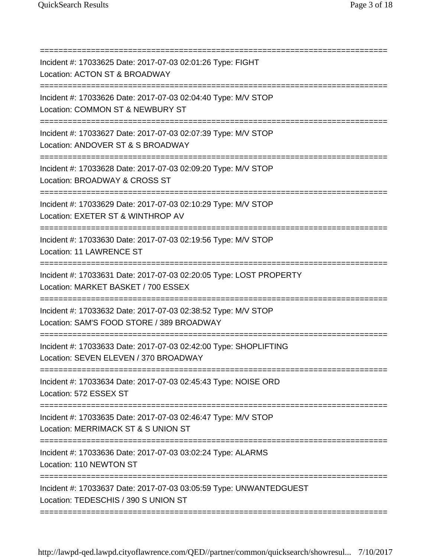=========================================================================== Incident #: 17033625 Date: 2017-07-03 02:01:26 Type: FIGHT Location: ACTON ST & BROADWAY =========================================================================== Incident #: 17033626 Date: 2017-07-03 02:04:40 Type: M/V STOP Location: COMMON ST & NEWBURY ST =========================================================================== Incident #: 17033627 Date: 2017-07-03 02:07:39 Type: M/V STOP Location: ANDOVER ST & S BROADWAY =========================================================================== Incident #: 17033628 Date: 2017-07-03 02:09:20 Type: M/V STOP Location: BROADWAY & CROSS ST =========================================================================== Incident #: 17033629 Date: 2017-07-03 02:10:29 Type: M/V STOP Location: EXETER ST & WINTHROP AV =========================================================================== Incident #: 17033630 Date: 2017-07-03 02:19:56 Type: M/V STOP Location: 11 LAWRENCE ST =========================================================================== Incident #: 17033631 Date: 2017-07-03 02:20:05 Type: LOST PROPERTY Location: MARKET BASKET / 700 ESSEX =========================================================================== Incident #: 17033632 Date: 2017-07-03 02:38:52 Type: M/V STOP Location: SAM'S FOOD STORE / 389 BROADWAY =========================================================================== Incident #: 17033633 Date: 2017-07-03 02:42:00 Type: SHOPLIFTING Location: SEVEN ELEVEN / 370 BROADWAY =========================================================================== Incident #: 17033634 Date: 2017-07-03 02:45:43 Type: NOISE ORD Location: 572 ESSEX ST =========================================================================== Incident #: 17033635 Date: 2017-07-03 02:46:47 Type: M/V STOP Location: MERRIMACK ST & S UNION ST ============================== Incident #: 17033636 Date: 2017-07-03 03:02:24 Type: ALARMS Location: 110 NEWTON ST =========================================================================== Incident #: 17033637 Date: 2017-07-03 03:05:59 Type: UNWANTEDGUEST Location: TEDESCHIS / 390 S UNION ST ===========================================================================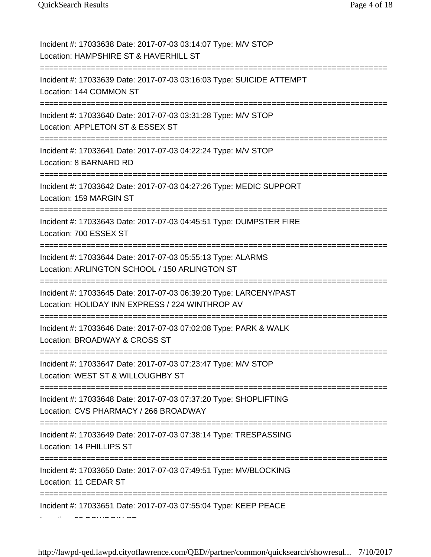Incident #: 17033638 Date: 2017-07-03 03:14:07 Type: M/V STOP Location: HAMPSHIRE ST & HAVERHILL ST =========================================================================== Incident #: 17033639 Date: 2017-07-03 03:16:03 Type: SUICIDE ATTEMPT Location: 144 COMMON ST =========================================================================== Incident #: 17033640 Date: 2017-07-03 03:31:28 Type: M/V STOP Location: APPLETON ST & ESSEX ST =========================================================================== Incident #: 17033641 Date: 2017-07-03 04:22:24 Type: M/V STOP Location: 8 BARNARD RD =========================================================================== Incident #: 17033642 Date: 2017-07-03 04:27:26 Type: MEDIC SUPPORT Location: 159 MARGIN ST =========================================================================== Incident #: 17033643 Date: 2017-07-03 04:45:51 Type: DUMPSTER FIRE Location: 700 ESSEX ST ====================== Incident #: 17033644 Date: 2017-07-03 05:55:13 Type: ALARMS Location: ARLINGTON SCHOOL / 150 ARLINGTON ST =========================================================================== Incident #: 17033645 Date: 2017-07-03 06:39:20 Type: LARCENY/PAST Location: HOLIDAY INN EXPRESS / 224 WINTHROP AV =========================================================================== Incident #: 17033646 Date: 2017-07-03 07:02:08 Type: PARK & WALK Location: BROADWAY & CROSS ST =========================================================================== Incident #: 17033647 Date: 2017-07-03 07:23:47 Type: M/V STOP Location: WEST ST & WILLOUGHBY ST =========================================================================== Incident #: 17033648 Date: 2017-07-03 07:37:20 Type: SHOPLIFTING Location: CVS PHARMACY / 266 BROADWAY =========================================================================== Incident #: 17033649 Date: 2017-07-03 07:38:14 Type: TRESPASSING Location: 14 PHILLIPS ST =========================================================================== Incident #: 17033650 Date: 2017-07-03 07:49:51 Type: MV/BLOCKING Location: 11 CEDAR ST =========================================================================== Incident #: 17033651 Date: 2017-07-03 07:55:04 Type: KEEP PEACE  $L = F \cdot \frac{1}{2} F$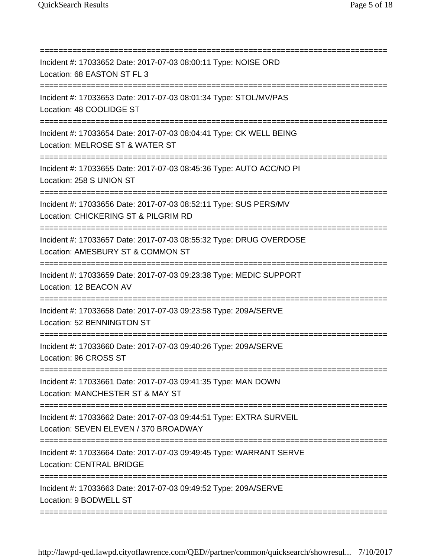=========================================================================== Incident #: 17033652 Date: 2017-07-03 08:00:11 Type: NOISE ORD Location: 68 EASTON ST FL 3 =========================================================================== Incident #: 17033653 Date: 2017-07-03 08:01:34 Type: STOL/MV/PAS Location: 48 COOLIDGE ST =========================================================================== Incident #: 17033654 Date: 2017-07-03 08:04:41 Type: CK WELL BEING Location: MELROSE ST & WATER ST =========================================================================== Incident #: 17033655 Date: 2017-07-03 08:45:36 Type: AUTO ACC/NO PI Location: 258 S UNION ST =========================================================================== Incident #: 17033656 Date: 2017-07-03 08:52:11 Type: SUS PERS/MV Location: CHICKERING ST & PILGRIM RD =========================================================================== Incident #: 17033657 Date: 2017-07-03 08:55:32 Type: DRUG OVERDOSE Location: AMESBURY ST & COMMON ST ===================== Incident #: 17033659 Date: 2017-07-03 09:23:38 Type: MEDIC SUPPORT Location: 12 BEACON AV =========================================================================== Incident #: 17033658 Date: 2017-07-03 09:23:58 Type: 209A/SERVE Location: 52 BENNINGTON ST ============================== Incident #: 17033660 Date: 2017-07-03 09:40:26 Type: 209A/SERVE Location: 96 CROSS ST =========================================================================== Incident #: 17033661 Date: 2017-07-03 09:41:35 Type: MAN DOWN Location: MANCHESTER ST & MAY ST =========================================================================== Incident #: 17033662 Date: 2017-07-03 09:44:51 Type: EXTRA SURVEIL Location: SEVEN ELEVEN / 370 BROADWAY =========================================================================== Incident #: 17033664 Date: 2017-07-03 09:49:45 Type: WARRANT SERVE Location: CENTRAL BRIDGE ============================== Incident #: 17033663 Date: 2017-07-03 09:49:52 Type: 209A/SERVE Location: 9 BODWELL ST ===========================================================================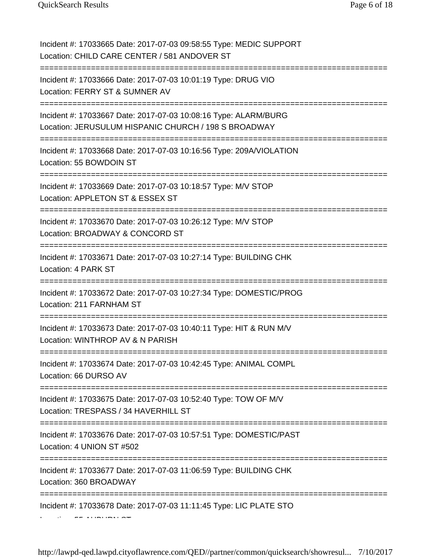Incident #: 17033665 Date: 2017-07-03 09:58:55 Type: MEDIC SUPPORT Location: CHILD CARE CENTER / 581 ANDOVER ST =========================================================================== Incident #: 17033666 Date: 2017-07-03 10:01:19 Type: DRUG VIO Location: FERRY ST & SUMNER AV =========================================================================== Incident #: 17033667 Date: 2017-07-03 10:08:16 Type: ALARM/BURG Location: JERUSULUM HISPANIC CHURCH / 198 S BROADWAY =========================================================================== Incident #: 17033668 Date: 2017-07-03 10:16:56 Type: 209A/VIOLATION Location: 55 BOWDOIN ST =========================================================================== Incident #: 17033669 Date: 2017-07-03 10:18:57 Type: M/V STOP Location: APPLETON ST & ESSEX ST =========================================================================== Incident #: 17033670 Date: 2017-07-03 10:26:12 Type: M/V STOP Location: BROADWAY & CONCORD ST ==================================== Incident #: 17033671 Date: 2017-07-03 10:27:14 Type: BUILDING CHK Location: 4 PARK ST **==================** Incident #: 17033672 Date: 2017-07-03 10:27:34 Type: DOMESTIC/PROG Location: 211 FARNHAM ST =========================================================================== Incident #: 17033673 Date: 2017-07-03 10:40:11 Type: HIT & RUN M/V Location: WINTHROP AV & N PARISH =========================================================================== Incident #: 17033674 Date: 2017-07-03 10:42:45 Type: ANIMAL COMPL Location: 66 DURSO AV =========================================================================== Incident #: 17033675 Date: 2017-07-03 10:52:40 Type: TOW OF M/V Location: TRESPASS / 34 HAVERHILL ST =========================================================================== Incident #: 17033676 Date: 2017-07-03 10:57:51 Type: DOMESTIC/PAST Location: 4 UNION ST #502 =========================================================================== Incident #: 17033677 Date: 2017-07-03 11:06:59 Type: BUILDING CHK Location: 360 BROADWAY =========================================================================== Incident #: 17033678 Date: 2017-07-03 11:11:45 Type: LIC PLATE STO  $\overline{a}$   $\overline{b}$   $\overline{b}$   $\overline{b}$   $\overline{b}$   $\overline{c}$   $\overline{c}$   $\overline{c}$   $\overline{c}$   $\overline{c}$   $\overline{c}$   $\overline{c}$   $\overline{c}$   $\overline{c}$   $\overline{c}$   $\overline{c}$   $\overline{c}$   $\overline{c}$   $\overline{c}$   $\overline{c}$   $\overline{c}$   $\overline{c}$   $\overline{c}$   $\overline{c}$   $\overline{$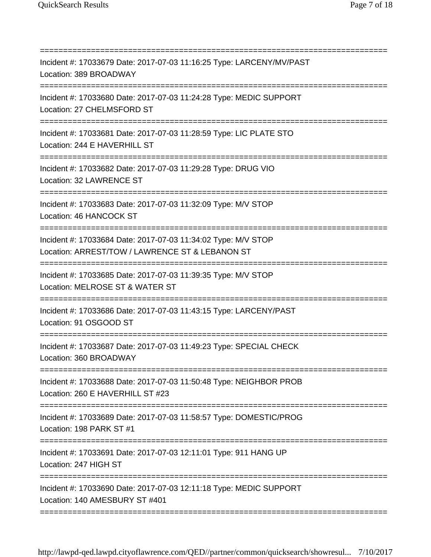=========================================================================== Incident #: 17033679 Date: 2017-07-03 11:16:25 Type: LARCENY/MV/PAST Location: 389 BROADWAY =========================================================================== Incident #: 17033680 Date: 2017-07-03 11:24:28 Type: MEDIC SUPPORT Location: 27 CHELMSFORD ST =========================================================================== Incident #: 17033681 Date: 2017-07-03 11:28:59 Type: LIC PLATE STO Location: 244 E HAVERHILL ST =========================================================================== Incident #: 17033682 Date: 2017-07-03 11:29:28 Type: DRUG VIO Location: 32 LAWRENCE ST =========================================================================== Incident #: 17033683 Date: 2017-07-03 11:32:09 Type: M/V STOP Location: 46 HANCOCK ST ======================== Incident #: 17033684 Date: 2017-07-03 11:34:02 Type: M/V STOP Location: ARREST/TOW / LAWRENCE ST & LEBANON ST =========================================================================== Incident #: 17033685 Date: 2017-07-03 11:39:35 Type: M/V STOP Location: MELROSE ST & WATER ST =========================================================================== Incident #: 17033686 Date: 2017-07-03 11:43:15 Type: LARCENY/PAST Location: 91 OSGOOD ST =========================================================================== Incident #: 17033687 Date: 2017-07-03 11:49:23 Type: SPECIAL CHECK Location: 360 BROADWAY =================================== Incident #: 17033688 Date: 2017-07-03 11:50:48 Type: NEIGHBOR PROB Location: 260 E HAVERHILL ST #23 =========================================================================== Incident #: 17033689 Date: 2017-07-03 11:58:57 Type: DOMESTIC/PROG Location: 198 PARK ST #1 =========================== Incident #: 17033691 Date: 2017-07-03 12:11:01 Type: 911 HANG UP Location: 247 HIGH ST =========================================================================== Incident #: 17033690 Date: 2017-07-03 12:11:18 Type: MEDIC SUPPORT Location: 140 AMESBURY ST #401 ===========================================================================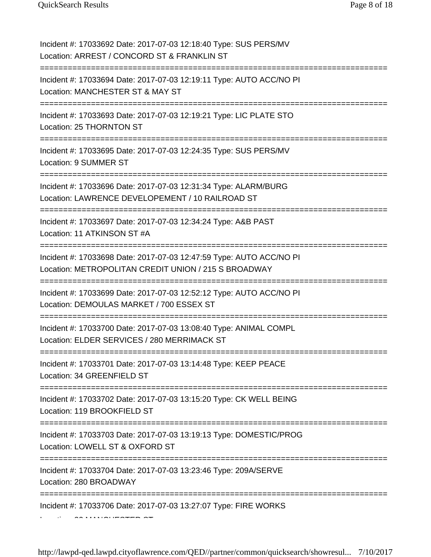Incident #: 17033692 Date: 2017-07-03 12:18:40 Type: SUS PERS/MV Location: ARREST / CONCORD ST & FRANKLIN ST =========================================================================== Incident #: 17033694 Date: 2017-07-03 12:19:11 Type: AUTO ACC/NO PI Location: MANCHESTER ST & MAY ST =========================================================================== Incident #: 17033693 Date: 2017-07-03 12:19:21 Type: LIC PLATE STO Location: 25 THORNTON ST ======================== Incident #: 17033695 Date: 2017-07-03 12:24:35 Type: SUS PERS/MV Location: 9 SUMMER ST =========================================================================== Incident #: 17033696 Date: 2017-07-03 12:31:34 Type: ALARM/BURG Location: LAWRENCE DEVELOPEMENT / 10 RAILROAD ST =========================================================================== Incident #: 17033697 Date: 2017-07-03 12:34:24 Type: A&B PAST Location: 11 ATKINSON ST #A ======================== Incident #: 17033698 Date: 2017-07-03 12:47:59 Type: AUTO ACC/NO PI Location: METROPOLITAN CREDIT UNION / 215 S BROADWAY =========================================================================== Incident #: 17033699 Date: 2017-07-03 12:52:12 Type: AUTO ACC/NO PI Location: DEMOULAS MARKET / 700 ESSEX ST =========================================================================== Incident #: 17033700 Date: 2017-07-03 13:08:40 Type: ANIMAL COMPL Location: ELDER SERVICES / 280 MERRIMACK ST =========================================================================== Incident #: 17033701 Date: 2017-07-03 13:14:48 Type: KEEP PEACE Location: 34 GREENFIELD ST =========================================================================== Incident #: 17033702 Date: 2017-07-03 13:15:20 Type: CK WELL BEING Location: 119 BROOKFIELD ST ======================= Incident #: 17033703 Date: 2017-07-03 13:19:13 Type: DOMESTIC/PROG Location: LOWELL ST & OXFORD ST =========================================================================== Incident #: 17033704 Date: 2017-07-03 13:23:46 Type: 209A/SERVE Location: 280 BROADWAY ===========================================================================

Incident #: 17033706 Date: 2017-07-03 13:27:07 Type: FIRE WORKS

L ti 32 MANCHESTER ST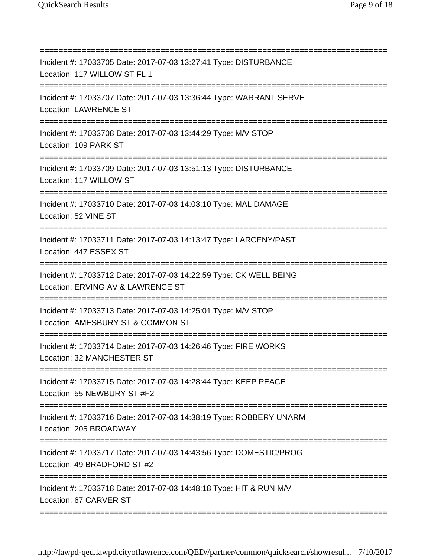=========================================================================== Incident #: 17033705 Date: 2017-07-03 13:27:41 Type: DISTURBANCE Location: 117 WILLOW ST FL 1 =========================================================================== Incident #: 17033707 Date: 2017-07-03 13:36:44 Type: WARRANT SERVE Location: LAWRENCE ST =========================================================================== Incident #: 17033708 Date: 2017-07-03 13:44:29 Type: M/V STOP Location: 109 PARK ST =========================================================================== Incident #: 17033709 Date: 2017-07-03 13:51:13 Type: DISTURBANCE Location: 117 WILLOW ST =========================================================================== Incident #: 17033710 Date: 2017-07-03 14:03:10 Type: MAL DAMAGE Location: 52 VINE ST ========================= Incident #: 17033711 Date: 2017-07-03 14:13:47 Type: LARCENY/PAST Location: 447 ESSEX ST =========================================================================== Incident #: 17033712 Date: 2017-07-03 14:22:59 Type: CK WELL BEING Location: ERVING AV & LAWRENCE ST =========================================================================== Incident #: 17033713 Date: 2017-07-03 14:25:01 Type: M/V STOP Location: AMESBURY ST & COMMON ST =========================================================================== Incident #: 17033714 Date: 2017-07-03 14:26:46 Type: FIRE WORKS Location: 32 MANCHESTER ST =========================================================================== Incident #: 17033715 Date: 2017-07-03 14:28:44 Type: KEEP PEACE Location: 55 NEWBURY ST #F2 =========================================================================== Incident #: 17033716 Date: 2017-07-03 14:38:19 Type: ROBBERY UNARM Location: 205 BROADWAY ========================== Incident #: 17033717 Date: 2017-07-03 14:43:56 Type: DOMESTIC/PROG Location: 49 BRADFORD ST #2 =========================================================================== Incident #: 17033718 Date: 2017-07-03 14:48:18 Type: HIT & RUN M/V Location: 67 CARVER ST

http://lawpd-qed.lawpd.cityoflawrence.com/QED//partner/common/quicksearch/showresul... 7/10/2017

===========================================================================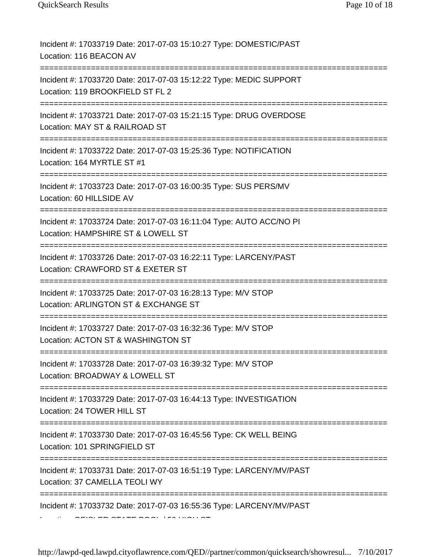Incident #: 17033719 Date: 2017-07-03 15:10:27 Type: DOMESTIC/PAST Location: 116 BEACON AV =========================================================================== Incident #: 17033720 Date: 2017-07-03 15:12:22 Type: MEDIC SUPPORT Location: 119 BROOKFIELD ST FL 2 =========================================================================== Incident #: 17033721 Date: 2017-07-03 15:21:15 Type: DRUG OVERDOSE Location: MAY ST & RAILROAD ST =========================================================================== Incident #: 17033722 Date: 2017-07-03 15:25:36 Type: NOTIFICATION Location: 164 MYRTLE ST #1 =========================================================================== Incident #: 17033723 Date: 2017-07-03 16:00:35 Type: SUS PERS/MV Location: 60 HILLSIDE AV =========================================================================== Incident #: 17033724 Date: 2017-07-03 16:11:04 Type: AUTO ACC/NO PI Location: HAMPSHIRE ST & LOWELL ST ====================================== Incident #: 17033726 Date: 2017-07-03 16:22:11 Type: LARCENY/PAST Location: CRAWFORD ST & EXETER ST =========================================================================== Incident #: 17033725 Date: 2017-07-03 16:28:13 Type: M/V STOP Location: ARLINGTON ST & EXCHANGE ST =========================================================================== Incident #: 17033727 Date: 2017-07-03 16:32:36 Type: M/V STOP Location: ACTON ST & WASHINGTON ST =========================================================================== Incident #: 17033728 Date: 2017-07-03 16:39:32 Type: M/V STOP Location: BROADWAY & LOWELL ST =========================================================================== Incident #: 17033729 Date: 2017-07-03 16:44:13 Type: INVESTIGATION Location: 24 TOWER HILL ST =========================================================================== Incident #: 17033730 Date: 2017-07-03 16:45:56 Type: CK WELL BEING Location: 101 SPRINGFIELD ST =========================================================================== Incident #: 17033731 Date: 2017-07-03 16:51:19 Type: LARCENY/MV/PAST Location: 37 CAMELLA TEOLI WY =========================================================================== Incident #: 17033732 Date: 2017-07-03 16:55:36 Type: LARCENY/MV/PAST  $C = 0.5$  Times  $T = 500$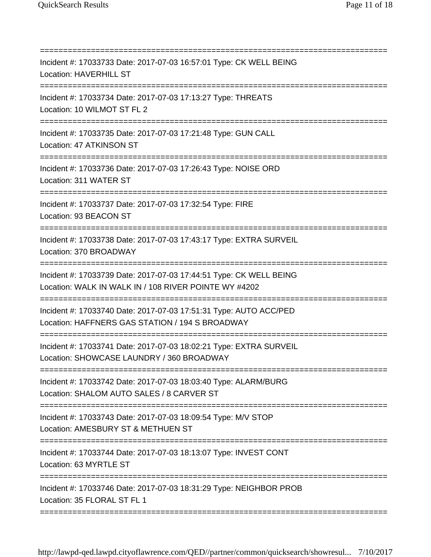=========================================================================== Incident #: 17033733 Date: 2017-07-03 16:57:01 Type: CK WELL BEING Location: HAVERHILL ST =========================================================================== Incident #: 17033734 Date: 2017-07-03 17:13:27 Type: THREATS Location: 10 WILMOT ST FL 2 =========================================================================== Incident #: 17033735 Date: 2017-07-03 17:21:48 Type: GUN CALL Location: 47 ATKINSON ST =========================================================================== Incident #: 17033736 Date: 2017-07-03 17:26:43 Type: NOISE ORD Location: 311 WATER ST =========================================================================== Incident #: 17033737 Date: 2017-07-03 17:32:54 Type: FIRE Location: 93 BEACON ST =========================================================================== Incident #: 17033738 Date: 2017-07-03 17:43:17 Type: EXTRA SURVEIL Location: 370 BROADWAY ======================= Incident #: 17033739 Date: 2017-07-03 17:44:51 Type: CK WELL BEING Location: WALK IN WALK IN / 108 RIVER POINTE WY #4202 =========================================================================== Incident #: 17033740 Date: 2017-07-03 17:51:31 Type: AUTO ACC/PED Location: HAFFNERS GAS STATION / 194 S BROADWAY =========================================================================== Incident #: 17033741 Date: 2017-07-03 18:02:21 Type: EXTRA SURVEIL Location: SHOWCASE LAUNDRY / 360 BROADWAY =========================================================================== Incident #: 17033742 Date: 2017-07-03 18:03:40 Type: ALARM/BURG Location: SHALOM AUTO SALES / 8 CARVER ST =========================================================================== Incident #: 17033743 Date: 2017-07-03 18:09:54 Type: M/V STOP Location: AMESBURY ST & METHUEN ST ================================ Incident #: 17033744 Date: 2017-07-03 18:13:07 Type: INVEST CONT Location: 63 MYRTLE ST =========================================================================== Incident #: 17033746 Date: 2017-07-03 18:31:29 Type: NEIGHBOR PROB Location: 35 FLORAL ST FL 1 ===========================================================================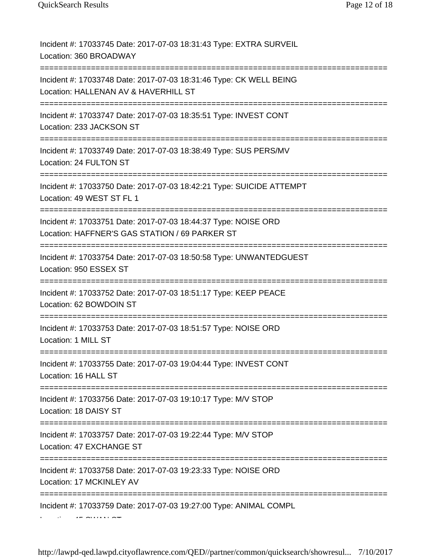Incident #: 17033745 Date: 2017-07-03 18:31:43 Type: EXTRA SURVEIL Location: 360 BROADWAY =========================================================================== Incident #: 17033748 Date: 2017-07-03 18:31:46 Type: CK WELL BEING Location: HALLENAN AV & HAVERHILL ST =========================================================================== Incident #: 17033747 Date: 2017-07-03 18:35:51 Type: INVEST CONT Location: 233 JACKSON ST =========================================================================== Incident #: 17033749 Date: 2017-07-03 18:38:49 Type: SUS PERS/MV Location: 24 FULTON ST =========================================================================== Incident #: 17033750 Date: 2017-07-03 18:42:21 Type: SUICIDE ATTEMPT Location: 49 WEST ST FL 1 =========================================================================== Incident #: 17033751 Date: 2017-07-03 18:44:37 Type: NOISE ORD Location: HAFFNER'S GAS STATION / 69 PARKER ST =========================================================================== Incident #: 17033754 Date: 2017-07-03 18:50:58 Type: UNWANTEDGUEST Location: 950 ESSEX ST =========================================================================== Incident #: 17033752 Date: 2017-07-03 18:51:17 Type: KEEP PEACE Location: 62 BOWDOIN ST =========================================================================== Incident #: 17033753 Date: 2017-07-03 18:51:57 Type: NOISE ORD Location: 1 MILL ST =========================================================================== Incident #: 17033755 Date: 2017-07-03 19:04:44 Type: INVEST CONT Location: 16 HALL ST =========================================================================== Incident #: 17033756 Date: 2017-07-03 19:10:17 Type: M/V STOP Location: 18 DAISY ST =================== Incident #: 17033757 Date: 2017-07-03 19:22:44 Type: M/V STOP Location: 47 EXCHANGE ST =========================================================================== Incident #: 17033758 Date: 2017-07-03 19:23:33 Type: NOISE ORD Location: 17 MCKINLEY AV =========================================================================== Incident #: 17033759 Date: 2017-07-03 19:27:00 Type: ANIMAL COMPL  $L = \sim 11$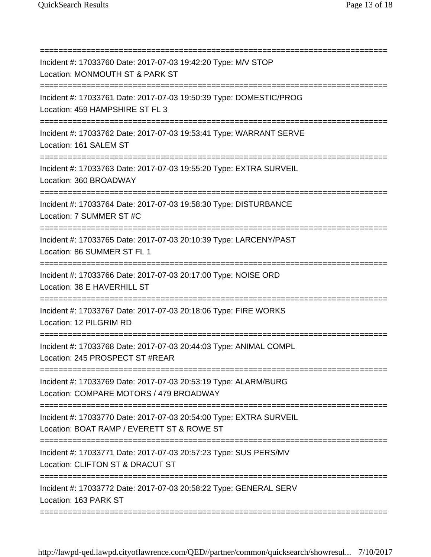=========================================================================== Incident #: 17033760 Date: 2017-07-03 19:42:20 Type: M/V STOP Location: MONMOUTH ST & PARK ST =========================================================================== Incident #: 17033761 Date: 2017-07-03 19:50:39 Type: DOMESTIC/PROG Location: 459 HAMPSHIRE ST FL 3 =========================================================================== Incident #: 17033762 Date: 2017-07-03 19:53:41 Type: WARRANT SERVE Location: 161 SALEM ST =========================================================================== Incident #: 17033763 Date: 2017-07-03 19:55:20 Type: EXTRA SURVEIL Location: 360 BROADWAY =========================================================================== Incident #: 17033764 Date: 2017-07-03 19:58:30 Type: DISTURBANCE Location: 7 SUMMER ST #C ====================== Incident #: 17033765 Date: 2017-07-03 20:10:39 Type: LARCENY/PAST Location: 86 SUMMER ST FL 1 ===================================== Incident #: 17033766 Date: 2017-07-03 20:17:00 Type: NOISE ORD Location: 38 E HAVERHILL ST =========================================================================== Incident #: 17033767 Date: 2017-07-03 20:18:06 Type: FIRE WORKS Location: 12 PILGRIM RD =========================================================================== Incident #: 17033768 Date: 2017-07-03 20:44:03 Type: ANIMAL COMPL Location: 245 PROSPECT ST #REAR =========================================================================== Incident #: 17033769 Date: 2017-07-03 20:53:19 Type: ALARM/BURG Location: COMPARE MOTORS / 479 BROADWAY =========================================================================== Incident #: 17033770 Date: 2017-07-03 20:54:00 Type: EXTRA SURVEIL Location: BOAT RAMP / EVERETT ST & ROWE ST =========================================================================== Incident #: 17033771 Date: 2017-07-03 20:57:23 Type: SUS PERS/MV Location: CLIFTON ST & DRACUT ST =================================== Incident #: 17033772 Date: 2017-07-03 20:58:22 Type: GENERAL SERV Location: 163 PARK ST ===========================================================================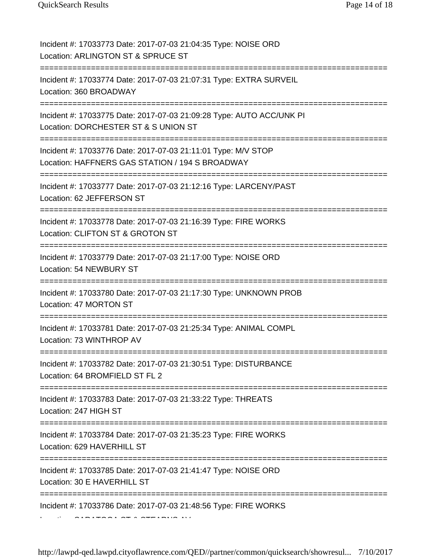Incident #: 17033773 Date: 2017-07-03 21:04:35 Type: NOISE ORD Location: ARLINGTON ST & SPRUCE ST =========================================================================== Incident #: 17033774 Date: 2017-07-03 21:07:31 Type: EXTRA SURVEIL Location: 360 BROADWAY =========================================================================== Incident #: 17033775 Date: 2017-07-03 21:09:28 Type: AUTO ACC/UNK PI Location: DORCHESTER ST & S UNION ST =========================================================================== Incident #: 17033776 Date: 2017-07-03 21:11:01 Type: M/V STOP Location: HAFFNERS GAS STATION / 194 S BROADWAY ================================ Incident #: 17033777 Date: 2017-07-03 21:12:16 Type: LARCENY/PAST Location: 62 JEFFERSON ST =========================================================================== Incident #: 17033778 Date: 2017-07-03 21:16:39 Type: FIRE WORKS Location: CLIFTON ST & GROTON ST ==================================== Incident #: 17033779 Date: 2017-07-03 21:17:00 Type: NOISE ORD Location: 54 NEWBURY ST =========================================================================== Incident #: 17033780 Date: 2017-07-03 21:17:30 Type: UNKNOWN PROB Location: 47 MORTON ST =========================================================================== Incident #: 17033781 Date: 2017-07-03 21:25:34 Type: ANIMAL COMPL Location: 73 WINTHROP AV =========================================================================== Incident #: 17033782 Date: 2017-07-03 21:30:51 Type: DISTURBANCE Location: 64 BROMFIELD ST FL 2 =========================================================================== Incident #: 17033783 Date: 2017-07-03 21:33:22 Type: THREATS Location: 247 HIGH ST =========================================================================== Incident #: 17033784 Date: 2017-07-03 21:35:23 Type: FIRE WORKS Location: 629 HAVERHILL ST =========================================================================== Incident #: 17033785 Date: 2017-07-03 21:41:47 Type: NOISE ORD Location: 30 E HAVERHILL ST =========================================================================== Incident #: 17033786 Date: 2017-07-03 21:48:56 Type: FIRE WORKS

http://lawpd-qed.lawpd.cityoflawrence.com/QED//partner/common/quicksearch/showresul... 7/10/2017

 $\overline{a}$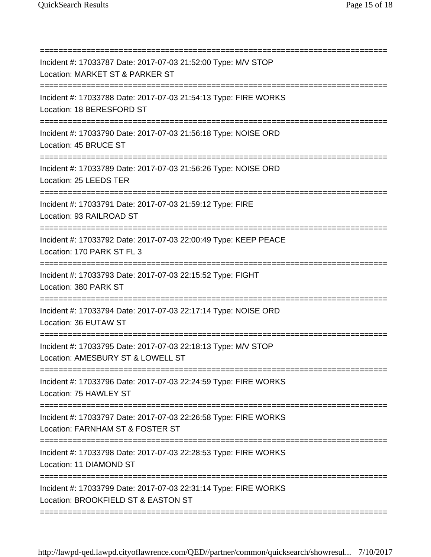=========================================================================== Incident #: 17033787 Date: 2017-07-03 21:52:00 Type: M/V STOP Location: MARKET ST & PARKER ST =========================================================================== Incident #: 17033788 Date: 2017-07-03 21:54:13 Type: FIRE WORKS Location: 18 BERESFORD ST =========================================================================== Incident #: 17033790 Date: 2017-07-03 21:56:18 Type: NOISE ORD Location: 45 BRUCE ST =========================================================================== Incident #: 17033789 Date: 2017-07-03 21:56:26 Type: NOISE ORD Location: 25 LEEDS TER =========================================================================== Incident #: 17033791 Date: 2017-07-03 21:59:12 Type: FIRE Location: 93 RAILROAD ST ======================= Incident #: 17033792 Date: 2017-07-03 22:00:49 Type: KEEP PEACE Location: 170 PARK ST FL 3 ==================================== Incident #: 17033793 Date: 2017-07-03 22:15:52 Type: FIGHT Location: 380 PARK ST =========================================================================== Incident #: 17033794 Date: 2017-07-03 22:17:14 Type: NOISE ORD Location: 36 EUTAW ST =========================================================================== Incident #: 17033795 Date: 2017-07-03 22:18:13 Type: M/V STOP Location: AMESBURY ST & LOWELL ST =========================================================================== Incident #: 17033796 Date: 2017-07-03 22:24:59 Type: FIRE WORKS Location: 75 HAWLEY ST =========================================================================== Incident #: 17033797 Date: 2017-07-03 22:26:58 Type: FIRE WORKS Location: FARNHAM ST & FOSTER ST ============================= Incident #: 17033798 Date: 2017-07-03 22:28:53 Type: FIRE WORKS Location: 11 DIAMOND ST =========================================================================== Incident #: 17033799 Date: 2017-07-03 22:31:14 Type: FIRE WORKS Location: BROOKFIELD ST & EASTON ST

http://lawpd-qed.lawpd.cityoflawrence.com/QED//partner/common/quicksearch/showresul... 7/10/2017

===========================================================================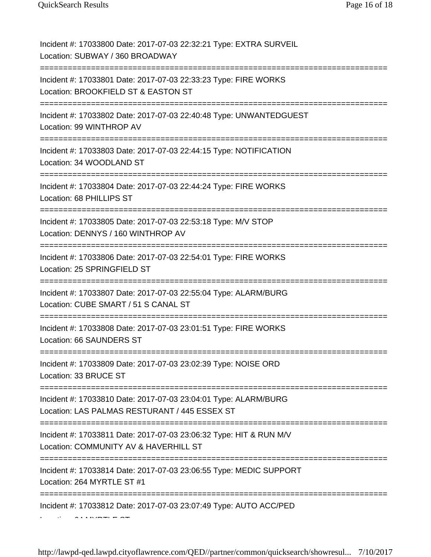Incident #: 17033800 Date: 2017-07-03 22:32:21 Type: EXTRA SURVEIL Location: SUBWAY / 360 BROADWAY =========================================================================== Incident #: 17033801 Date: 2017-07-03 22:33:23 Type: FIRE WORKS Location: BROOKFIELD ST & EASTON ST =========================================================================== Incident #: 17033802 Date: 2017-07-03 22:40:48 Type: UNWANTEDGUEST Location: 99 WINTHROP AV =========================================================================== Incident #: 17033803 Date: 2017-07-03 22:44:15 Type: NOTIFICATION Location: 34 WOODLAND ST =========================================================================== Incident #: 17033804 Date: 2017-07-03 22:44:24 Type: FIRE WORKS Location: 68 PHILLIPS ST =========================================================================== Incident #: 17033805 Date: 2017-07-03 22:53:18 Type: M/V STOP Location: DENNYS / 160 WINTHROP AV ================================ Incident #: 17033806 Date: 2017-07-03 22:54:01 Type: FIRE WORKS Location: 25 SPRINGFIELD ST =========================================================================== Incident #: 17033807 Date: 2017-07-03 22:55:04 Type: ALARM/BURG Location: CUBE SMART / 51 S CANAL ST =========================================================================== Incident #: 17033808 Date: 2017-07-03 23:01:51 Type: FIRE WORKS Location: 66 SAUNDERS ST =========================================================================== Incident #: 17033809 Date: 2017-07-03 23:02:39 Type: NOISE ORD Location: 33 BRUCE ST =========================================================================== Incident #: 17033810 Date: 2017-07-03 23:04:01 Type: ALARM/BURG Location: LAS PALMAS RESTURANT / 445 ESSEX ST =========================================================================== Incident #: 17033811 Date: 2017-07-03 23:06:32 Type: HIT & RUN M/V Location: COMMUNITY AV & HAVERHILL ST =========================================================================== Incident #: 17033814 Date: 2017-07-03 23:06:55 Type: MEDIC SUPPORT Location: 264 MYRTLE ST #1 =========================================================================== Incident #: 17033812 Date: 2017-07-03 23:07:49 Type: AUTO ACC/PED

 $\sim$  find  $\sim$   $\sim$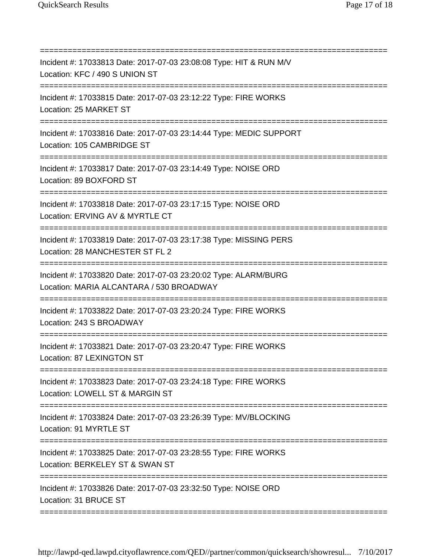=========================================================================== Incident #: 17033813 Date: 2017-07-03 23:08:08 Type: HIT & RUN M/V Location: KFC / 490 S UNION ST =========================================================================== Incident #: 17033815 Date: 2017-07-03 23:12:22 Type: FIRE WORKS Location: 25 MARKET ST =========================================================================== Incident #: 17033816 Date: 2017-07-03 23:14:44 Type: MEDIC SUPPORT Location: 105 CAMBRIDGE ST =========================================================================== Incident #: 17033817 Date: 2017-07-03 23:14:49 Type: NOISE ORD Location: 89 BOXFORD ST =========================================================================== Incident #: 17033818 Date: 2017-07-03 23:17:15 Type: NOISE ORD Location: ERVING AV & MYRTLE CT =========================================================================== Incident #: 17033819 Date: 2017-07-03 23:17:38 Type: MISSING PERS Location: 28 MANCHESTER ST FL 2 =================================== Incident #: 17033820 Date: 2017-07-03 23:20:02 Type: ALARM/BURG Location: MARIA ALCANTARA / 530 BROADWAY =========================================================================== Incident #: 17033822 Date: 2017-07-03 23:20:24 Type: FIRE WORKS Location: 243 S BROADWAY =========================================================================== Incident #: 17033821 Date: 2017-07-03 23:20:47 Type: FIRE WORKS Location: 87 LEXINGTON ST ===================================== Incident #: 17033823 Date: 2017-07-03 23:24:18 Type: FIRE WORKS Location: LOWELL ST & MARGIN ST =========================================================================== Incident #: 17033824 Date: 2017-07-03 23:26:39 Type: MV/BLOCKING Location: 91 MYRTLE ST ============================ Incident #: 17033825 Date: 2017-07-03 23:28:55 Type: FIRE WORKS Location: BERKELEY ST & SWAN ST =========================================================================== Incident #: 17033826 Date: 2017-07-03 23:32:50 Type: NOISE ORD Location: 31 BRUCE ST

http://lawpd-qed.lawpd.cityoflawrence.com/QED//partner/common/quicksearch/showresul... 7/10/2017

===========================================================================